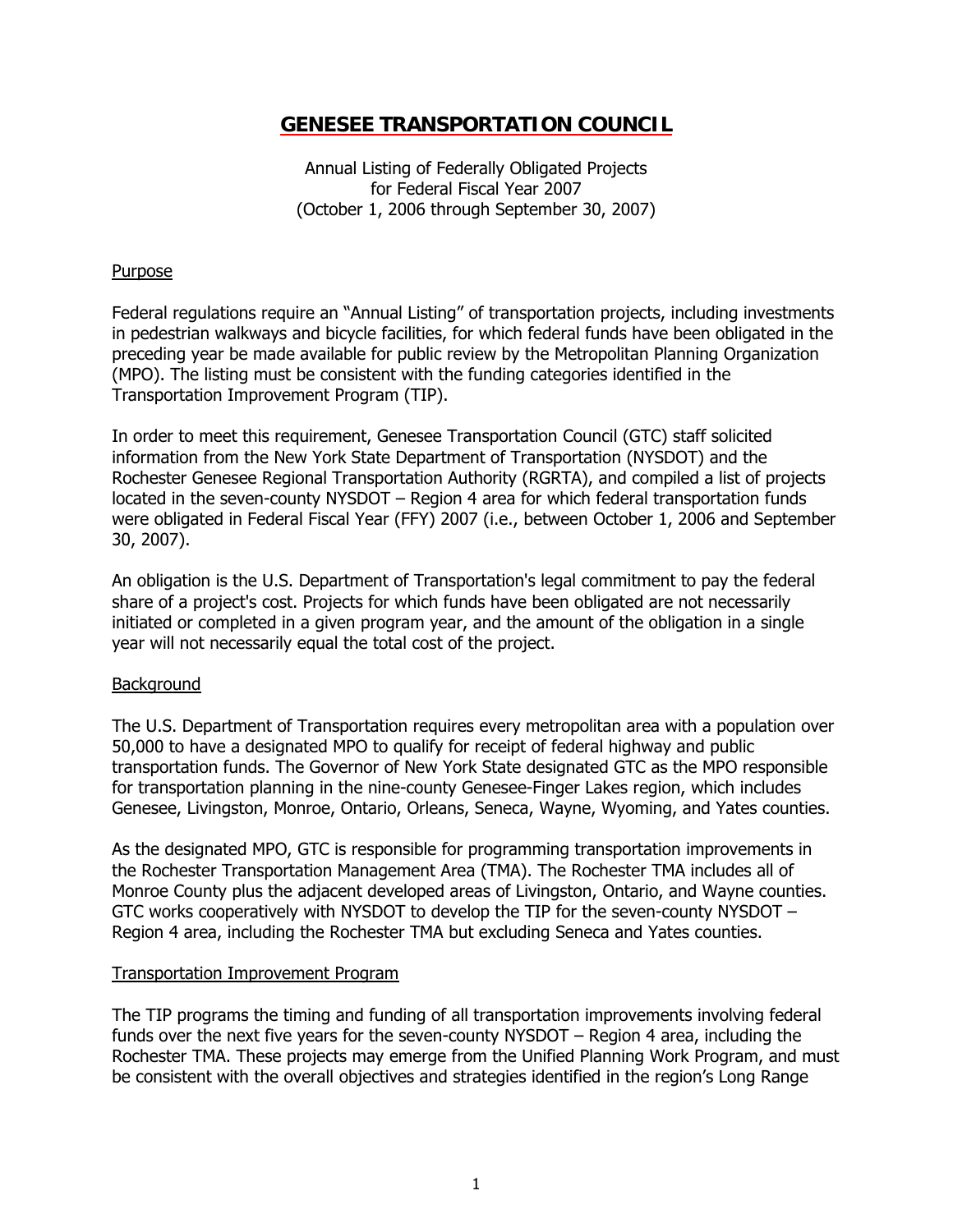Annual Listing of Federally Obligated Projects for Federal Fiscal Year 2007 (October 1, 2006 through September 30, 2007)

#### **Purpose**

Federal regulations require an "Annual Listing" of transportation projects, including investments in pedestrian walkways and bicycle facilities, for which federal funds have been obligated in the preceding year be made available for public review by the Metropolitan Planning Organization (MPO). The listing must be consistent with the funding categories identified in the Transportation Improvement Program (TIP).

In order to meet this requirement, Genesee Transportation Council (GTC) staff solicited information from the New York State Department of Transportation (NYSDOT) and the Rochester Genesee Regional Transportation Authority (RGRTA), and compiled a list of projects located in the seven-county NYSDOT – Region 4 area for which federal transportation funds were obligated in Federal Fiscal Year (FFY) 2007 (i.e., between October 1, 2006 and September 30, 2007).

An obligation is the U.S. Department of Transportation's legal commitment to pay the federal share of a project's cost. Projects for which funds have been obligated are not necessarily initiated or completed in a given program year, and the amount of the obligation in a single year will not necessarily equal the total cost of the project.

#### **Background**

The U.S. Department of Transportation requires every metropolitan area with a population over 50,000 to have a designated MPO to qualify for receipt of federal highway and public transportation funds. The Governor of New York State designated GTC as the MPO responsible for transportation planning in the nine-county Genesee-Finger Lakes region, which includes Genesee, Livingston, Monroe, Ontario, Orleans, Seneca, Wayne, Wyoming, and Yates counties.

As the designated MPO, GTC is responsible for programming transportation improvements in the Rochester Transportation Management Area (TMA). The Rochester TMA includes all of Monroe County plus the adjacent developed areas of Livingston, Ontario, and Wayne counties. GTC works cooperatively with NYSDOT to develop the TIP for the seven-county NYSDOT – Region 4 area, including the Rochester TMA but excluding Seneca and Yates counties.

#### Transportation Improvement Program

The TIP programs the timing and funding of all transportation improvements involving federal funds over the next five years for the seven-county NYSDOT – Region 4 area, including the Rochester TMA. These projects may emerge from the Unified Planning Work Program, and must be consistent with the overall objectives and strategies identified in the region's Long Range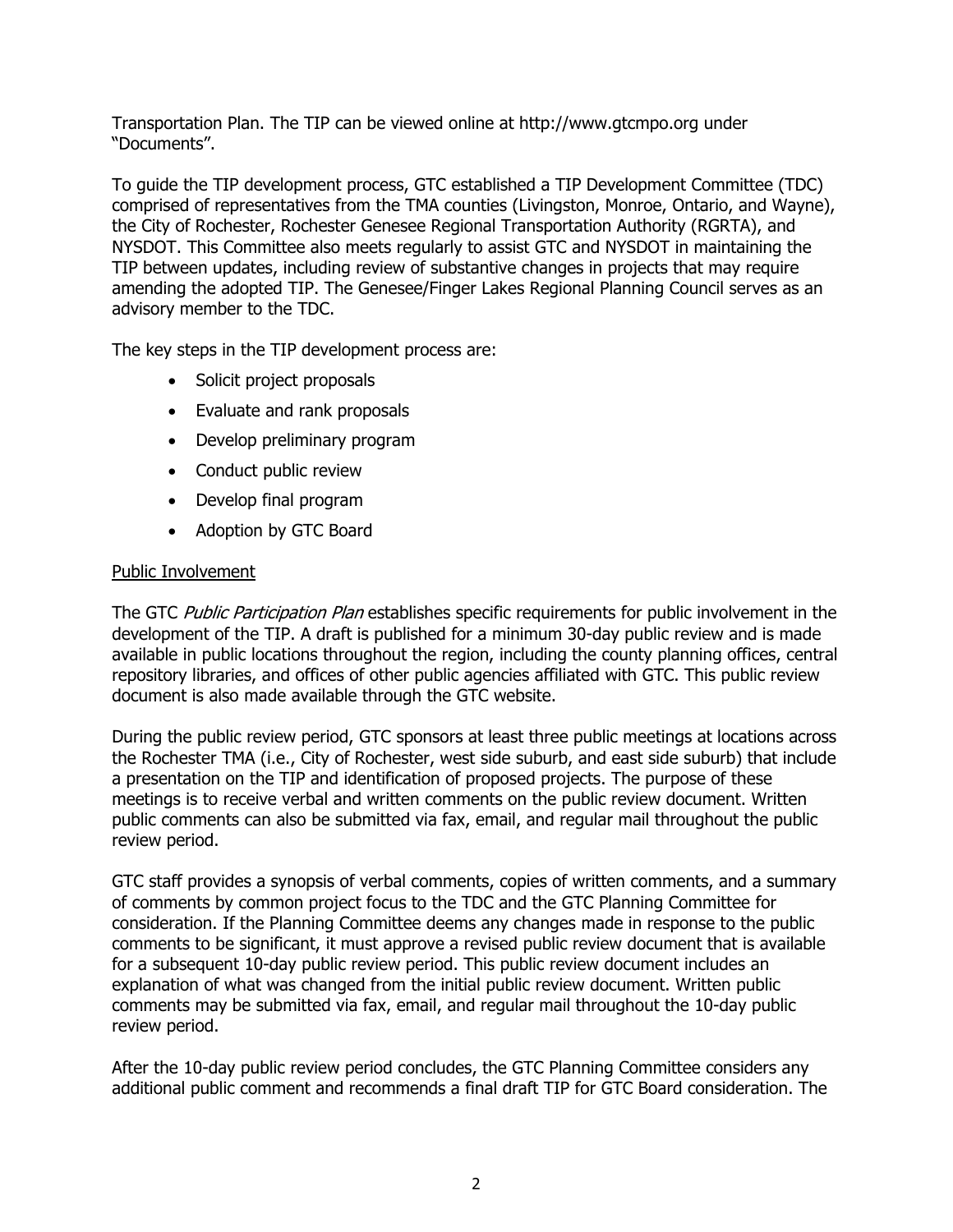Transportation Plan. The TIP can be viewed online at http://www.gtcmpo.org under "Documents".

To guide the TIP development process, GTC established a TIP Development Committee (TDC) comprised of representatives from the TMA counties (Livingston, Monroe, Ontario, and Wayne), the City of Rochester, Rochester Genesee Regional Transportation Authority (RGRTA), and NYSDOT. This Committee also meets regularly to assist GTC and NYSDOT in maintaining the TIP between updates, including review of substantive changes in projects that may require amending the adopted TIP. The Genesee/Finger Lakes Regional Planning Council serves as an advisory member to the TDC.

The key steps in the TIP development process are:

- Solicit project proposals
- Evaluate and rank proposals
- Develop preliminary program
- Conduct public review
- Develop final program
- Adoption by GTC Board

#### Public Involvement

The GTC Public Participation Plan establishes specific requirements for public involvement in the development of the TIP. A draft is published for a minimum 30-day public review and is made available in public locations throughout the region, including the county planning offices, central repository libraries, and offices of other public agencies affiliated with GTC. This public review document is also made available through the GTC website.

During the public review period, GTC sponsors at least three public meetings at locations across the Rochester TMA (i.e., City of Rochester, west side suburb, and east side suburb) that include a presentation on the TIP and identification of proposed projects. The purpose of these meetings is to receive verbal and written comments on the public review document. Written public comments can also be submitted via fax, email, and regular mail throughout the public review period.

GTC staff provides a synopsis of verbal comments, copies of written comments, and a summary of comments by common project focus to the TDC and the GTC Planning Committee for consideration. If the Planning Committee deems any changes made in response to the public comments to be significant, it must approve a revised public review document that is available for a subsequent 10-day public review period. This public review document includes an explanation of what was changed from the initial public review document. Written public comments may be submitted via fax, email, and regular mail throughout the 10-day public review period.

After the 10-day public review period concludes, the GTC Planning Committee considers any additional public comment and recommends a final draft TIP for GTC Board consideration. The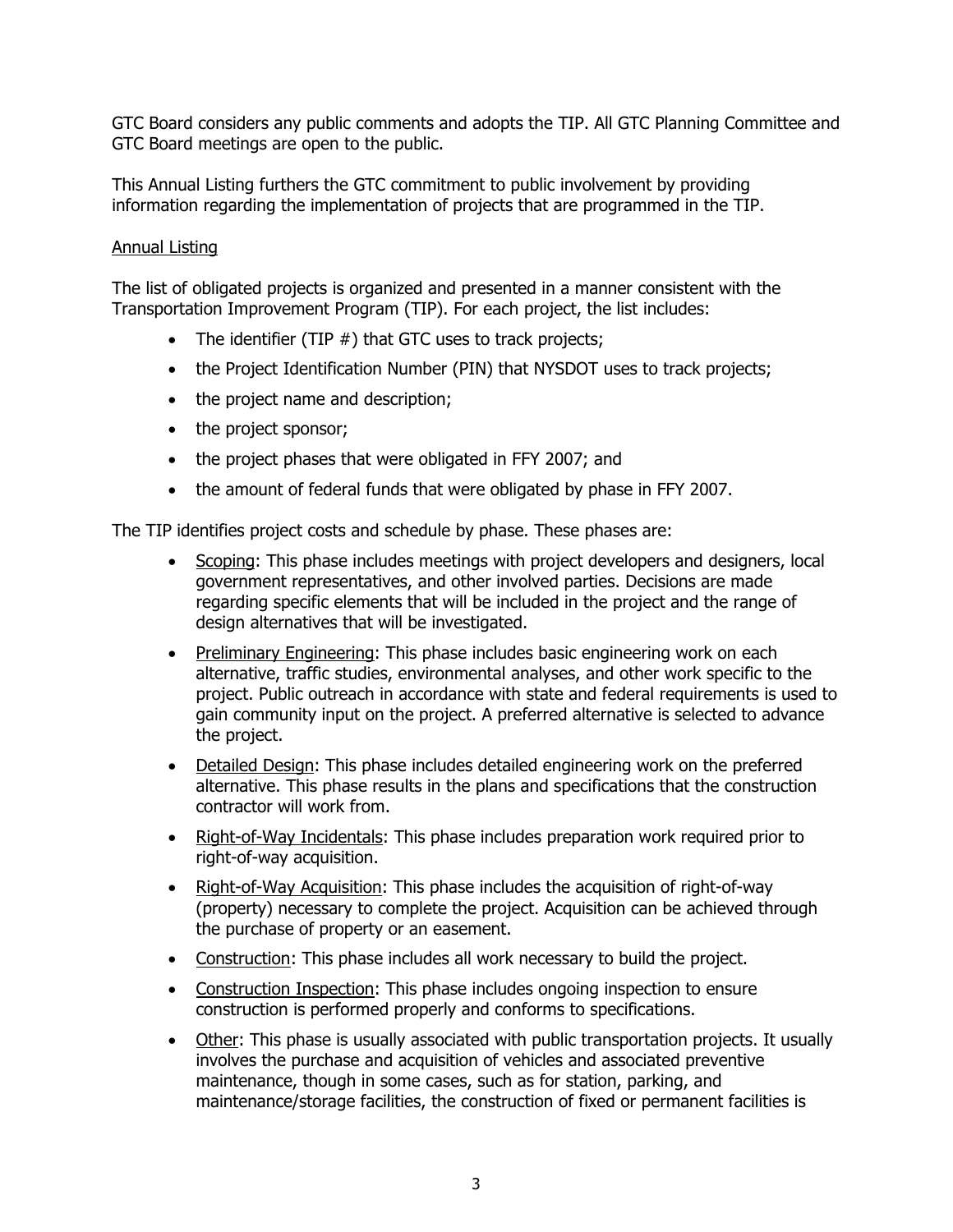GTC Board considers any public comments and adopts the TIP. All GTC Planning Committee and GTC Board meetings are open to the public.

This Annual Listing furthers the GTC commitment to public involvement by providing information regarding the implementation of projects that are programmed in the TIP.

#### Annual Listing

The list of obligated projects is organized and presented in a manner consistent with the Transportation Improvement Program (TIP). For each project, the list includes:

- The identifier (TIP  $#$ ) that GTC uses to track projects;
- the Project Identification Number (PIN) that NYSDOT uses to track projects;
- the project name and description;
- the project sponsor;
- the project phases that were obligated in FFY 2007; and
- the amount of federal funds that were obligated by phase in FFY 2007.

The TIP identifies project costs and schedule by phase. These phases are:

- Scoping: This phase includes meetings with project developers and designers, local government representatives, and other involved parties. Decisions are made regarding specific elements that will be included in the project and the range of design alternatives that will be investigated.
- Preliminary Engineering: This phase includes basic engineering work on each alternative, traffic studies, environmental analyses, and other work specific to the project. Public outreach in accordance with state and federal requirements is used to gain community input on the project. A preferred alternative is selected to advance the project.
- Detailed Design: This phase includes detailed engineering work on the preferred alternative. This phase results in the plans and specifications that the construction contractor will work from.
- Right-of-Way Incidentals: This phase includes preparation work required prior to right-of-way acquisition.
- Right-of-Way Acquisition: This phase includes the acquisition of right-of-way (property) necessary to complete the project. Acquisition can be achieved through the purchase of property or an easement.
- Construction: This phase includes all work necessary to build the project.
- Construction Inspection: This phase includes ongoing inspection to ensure construction is performed properly and conforms to specifications.
- Other: This phase is usually associated with public transportation projects. It usually involves the purchase and acquisition of vehicles and associated preventive maintenance, though in some cases, such as for station, parking, and maintenance/storage facilities, the construction of fixed or permanent facilities is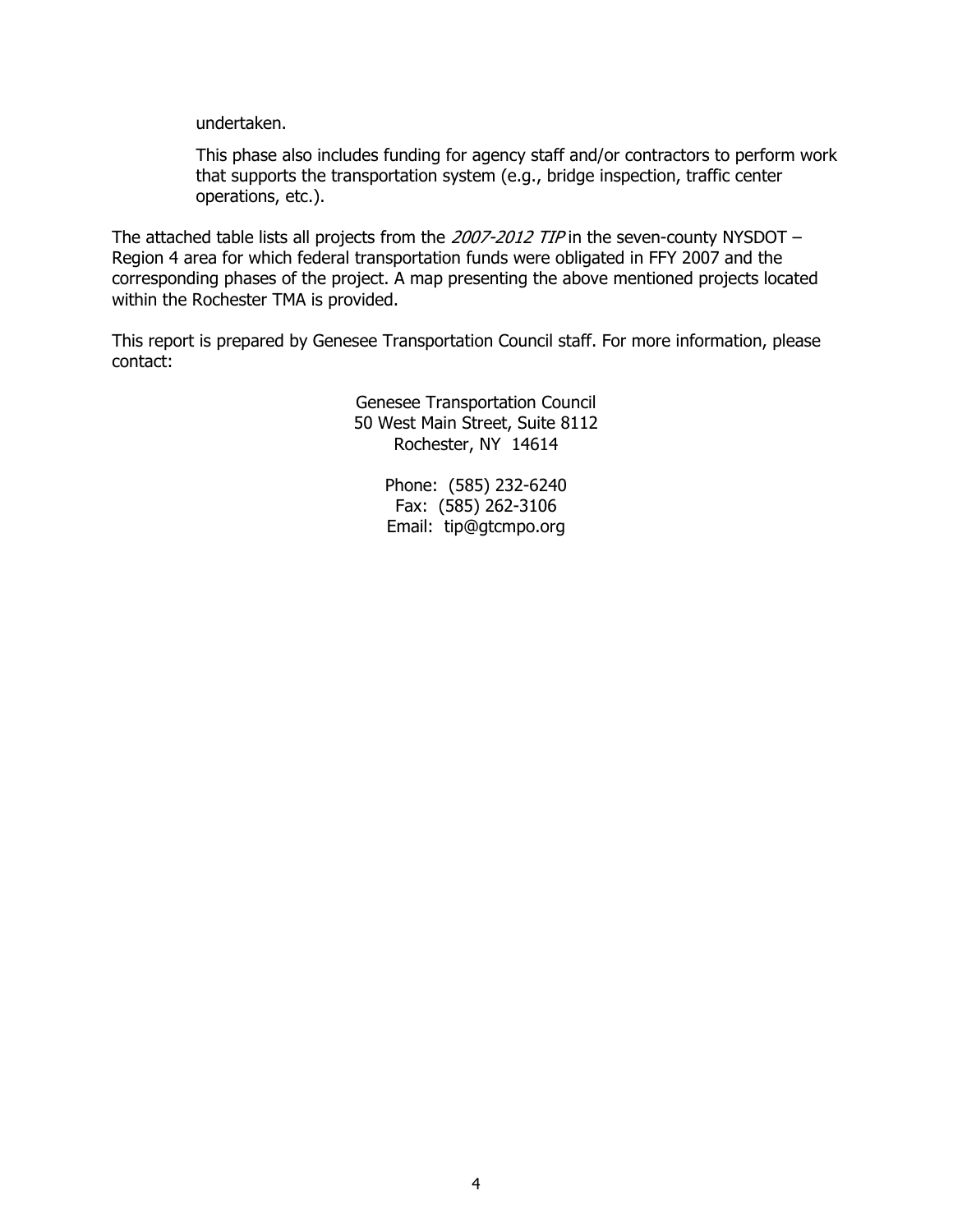undertaken.

This phase also includes funding for agency staff and/or contractors to perform work that supports the transportation system (e.g., bridge inspection, traffic center operations, etc.).

The attached table lists all projects from the 2007-2012 TIP in the seven-county NYSDOT – Region 4 area for which federal transportation funds were obligated in FFY 2007 and the corresponding phases of the project. A map presenting the above mentioned projects located within the Rochester TMA is provided.

This report is prepared by Genesee Transportation Council staff. For more information, please contact:

> Genesee Transportation Council 50 West Main Street, Suite 8112 Rochester, NY 14614

> > Phone: (585) 232-6240 Fax: (585) 262-3106 Email: tip@gtcmpo.org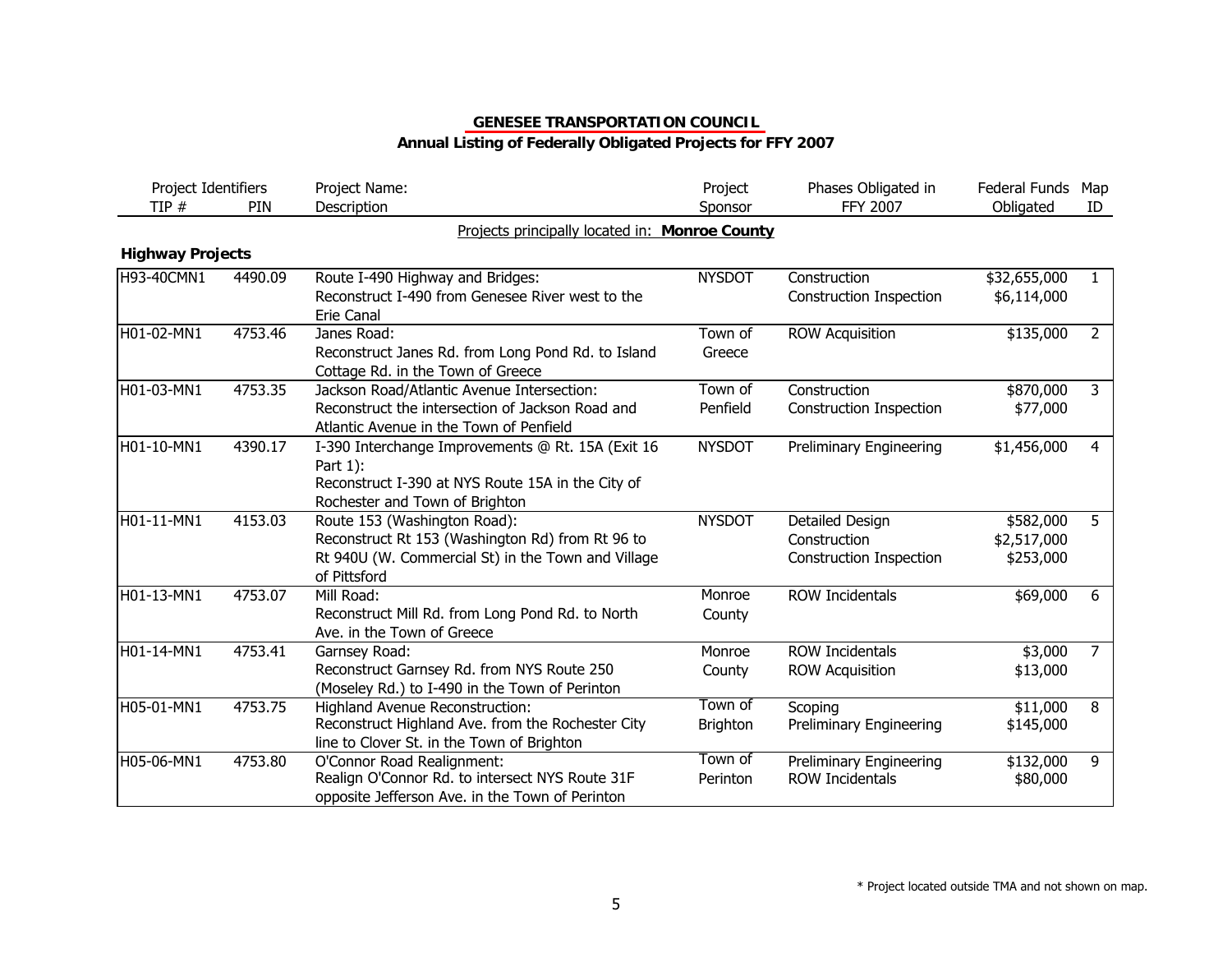| Project Identifiers<br>TIP # | PIN     | Project Name:<br>Description                                                                                                                           | Project<br>Sponsor         | Phases Obligated in<br>FFY 2007                                   | Federal Funds<br>Obligated            | Map<br>ID      |
|------------------------------|---------|--------------------------------------------------------------------------------------------------------------------------------------------------------|----------------------------|-------------------------------------------------------------------|---------------------------------------|----------------|
|                              |         | Projects principally located in: Monroe County                                                                                                         |                            |                                                                   |                                       |                |
| <b>Highway Projects</b>      |         |                                                                                                                                                        |                            |                                                                   |                                       |                |
| H93-40CMN1                   | 4490.09 | Route I-490 Highway and Bridges:<br>Reconstruct I-490 from Genesee River west to the<br>Erie Canal                                                     | <b>NYSDOT</b>              | Construction<br><b>Construction Inspection</b>                    | \$32,655,000<br>\$6,114,000           | $\mathbf{1}$   |
| $H01-02-MN1$                 | 4753.46 | Janes Road:<br>Reconstruct Janes Rd. from Long Pond Rd. to Island<br>Cottage Rd. in the Town of Greece                                                 | Town of<br>Greece          | <b>ROW Acquisition</b>                                            | \$135,000                             | $\overline{2}$ |
| H01-03-MN1                   | 4753.35 | Jackson Road/Atlantic Avenue Intersection:<br>Reconstruct the intersection of Jackson Road and<br>Atlantic Avenue in the Town of Penfield              | Town of<br>Penfield        | Construction<br><b>Construction Inspection</b>                    | \$870,000<br>\$77,000                 | 3              |
| H01-10-MN1                   | 4390.17 | I-390 Interchange Improvements @ Rt. 15A (Exit 16<br>Part 1):<br>Reconstruct I-390 at NYS Route 15A in the City of<br>Rochester and Town of Brighton   | <b>NYSDOT</b>              | <b>Preliminary Engineering</b>                                    | \$1,456,000                           | $\overline{4}$ |
| H01-11-MN1                   | 4153.03 | Route 153 (Washington Road):<br>Reconstruct Rt 153 (Washington Rd) from Rt 96 to<br>Rt 940U (W. Commercial St) in the Town and Village<br>of Pittsford | <b>NYSDOT</b>              | Detailed Design<br>Construction<br><b>Construction Inspection</b> | \$582,000<br>\$2,517,000<br>\$253,000 | 5              |
| $H01-13-MN1$                 | 4753.07 | Mill Road:<br>Reconstruct Mill Rd. from Long Pond Rd. to North<br>Ave. in the Town of Greece                                                           | Monroe<br>County           | <b>ROW Incidentals</b>                                            | \$69,000                              | 6              |
| H01-14-MN1                   | 4753.41 | Garnsey Road:<br>Reconstruct Garnsey Rd. from NYS Route 250<br>(Moseley Rd.) to I-490 in the Town of Perinton                                          | Monroe<br>County           | <b>ROW Incidentals</b><br><b>ROW Acquisition</b>                  | \$3,000<br>\$13,000                   | $\overline{7}$ |
| H05-01-MN1                   | 4753.75 | <b>Highland Avenue Reconstruction:</b><br>Reconstruct Highland Ave. from the Rochester City<br>line to Clover St. in the Town of Brighton              | Town of<br><b>Brighton</b> | Scoping<br>Preliminary Engineering                                | \$11,000<br>\$145,000                 | $\overline{8}$ |
| H05-06-MN1                   | 4753.80 | O'Connor Road Realignment:<br>Realign O'Connor Rd. to intersect NYS Route 31F<br>opposite Jefferson Ave. in the Town of Perinton                       | Town of<br>Perinton        | Preliminary Engineering<br><b>ROW Incidentals</b>                 | \$132,000<br>\$80,000                 | 9              |

## **Annual Listing of Federally Obligated Projects for FFY 2007**

\* Project located outside TMA and not shown on map.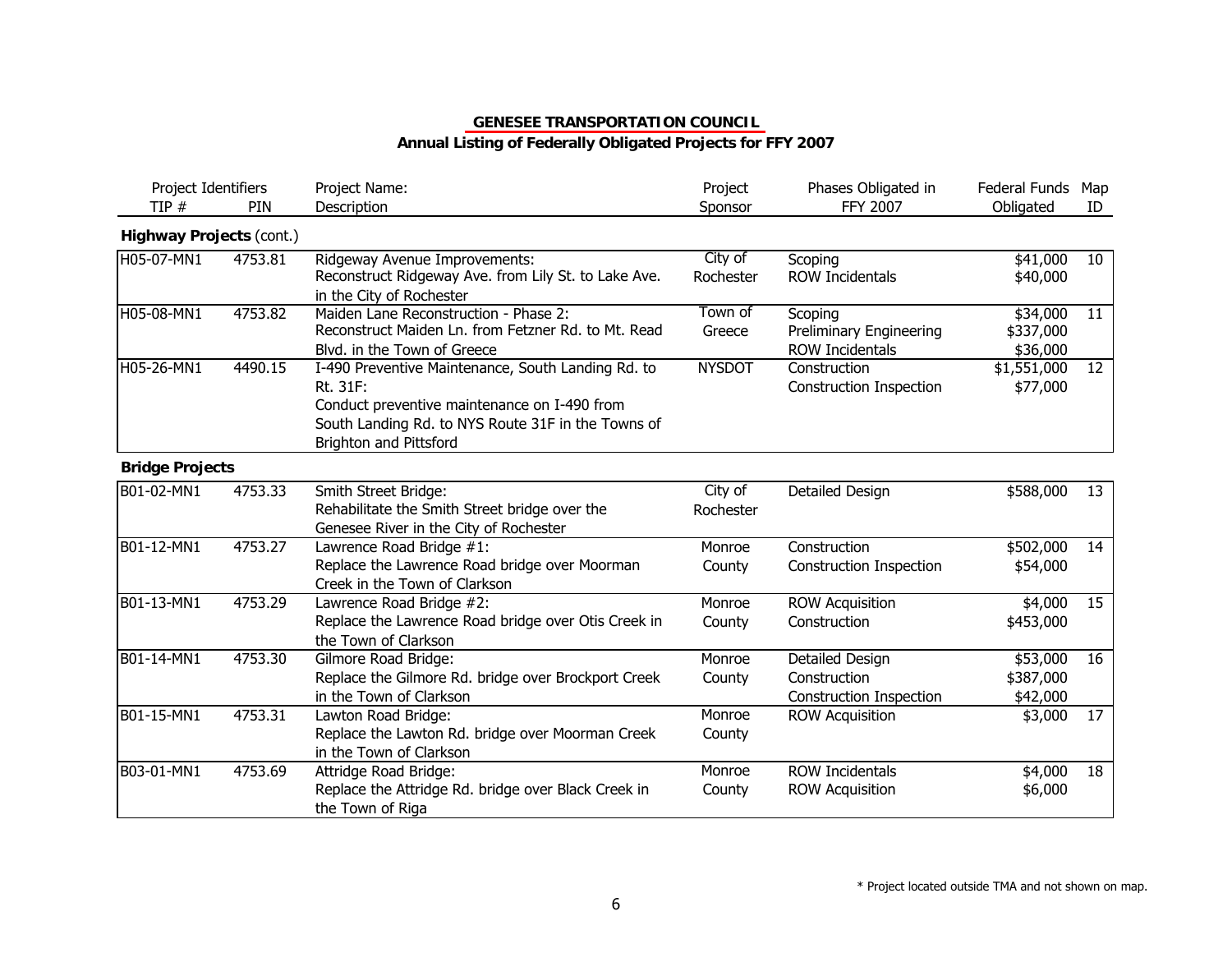## **Annual Listing of Federally Obligated Projects for FFY 2007**

| Project Identifiers<br>TIP# | PIN     | Project Name:<br>Description                                                                                                                                                                          | Project<br>Sponsor   | Phases Obligated in<br><b>FFY 2007</b>                            | Federal Funds Map<br>Obligated    | ID |
|-----------------------------|---------|-------------------------------------------------------------------------------------------------------------------------------------------------------------------------------------------------------|----------------------|-------------------------------------------------------------------|-----------------------------------|----|
| Highway Projects (cont.)    |         |                                                                                                                                                                                                       |                      |                                                                   |                                   |    |
| H05-07-MN1                  | 4753.81 | Ridgeway Avenue Improvements:<br>Reconstruct Ridgeway Ave. from Lily St. to Lake Ave.<br>in the City of Rochester                                                                                     | City of<br>Rochester | Scoping<br><b>ROW Incidentals</b>                                 | \$41,000<br>\$40,000              | 10 |
| H05-08-MN1                  | 4753.82 | Maiden Lane Reconstruction - Phase 2:<br>Reconstruct Maiden Ln. from Fetzner Rd. to Mt. Read<br>Blvd. in the Town of Greece                                                                           | Town of<br>Greece    | Scoping<br>Preliminary Engineering<br><b>ROW Incidentals</b>      | \$34,000<br>\$337,000<br>\$36,000 | 11 |
| H05-26-MN1                  | 4490.15 | I-490 Preventive Maintenance, South Landing Rd. to<br>Rt. 31F:<br>Conduct preventive maintenance on I-490 from<br>South Landing Rd. to NYS Route 31F in the Towns of<br><b>Brighton and Pittsford</b> | <b>NYSDOT</b>        | Construction<br><b>Construction Inspection</b>                    | \$1,551,000<br>\$77,000           | 12 |
| <b>Bridge Projects</b>      |         |                                                                                                                                                                                                       |                      |                                                                   |                                   |    |
| B01-02-MN1                  | 4753.33 | Smith Street Bridge:<br>Rehabilitate the Smith Street bridge over the<br>Genesee River in the City of Rochester                                                                                       | City of<br>Rochester | Detailed Design                                                   | \$588,000                         | 13 |
| B01-12-MN1                  | 4753.27 | Lawrence Road Bridge #1:<br>Replace the Lawrence Road bridge over Moorman<br>Creek in the Town of Clarkson                                                                                            | Monroe<br>County     | Construction<br><b>Construction Inspection</b>                    | \$502,000<br>\$54,000             | 14 |
| B01-13-MN1                  | 4753.29 | Lawrence Road Bridge #2:<br>Replace the Lawrence Road bridge over Otis Creek in<br>the Town of Clarkson                                                                                               | Monroe<br>County     | <b>ROW Acquisition</b><br>Construction                            | \$4,000<br>\$453,000              | 15 |
| B01-14-MN1                  | 4753.30 | Gilmore Road Bridge:<br>Replace the Gilmore Rd. bridge over Brockport Creek<br>in the Town of Clarkson                                                                                                | Monroe<br>County     | Detailed Design<br>Construction<br><b>Construction Inspection</b> | \$53,000<br>\$387,000<br>\$42,000 | 16 |
| B01-15-MN1                  | 4753.31 | Lawton Road Bridge:<br>Replace the Lawton Rd. bridge over Moorman Creek<br>in the Town of Clarkson                                                                                                    | Monroe<br>County     | <b>ROW Acquisition</b>                                            | \$3,000                           | 17 |
| B03-01-MN1                  | 4753.69 | Attridge Road Bridge:<br>Replace the Attridge Rd. bridge over Black Creek in<br>the Town of Riga                                                                                                      | Monroe<br>County     | <b>ROW Incidentals</b><br><b>ROW Acquisition</b>                  | \$4,000<br>\$6,000                | 18 |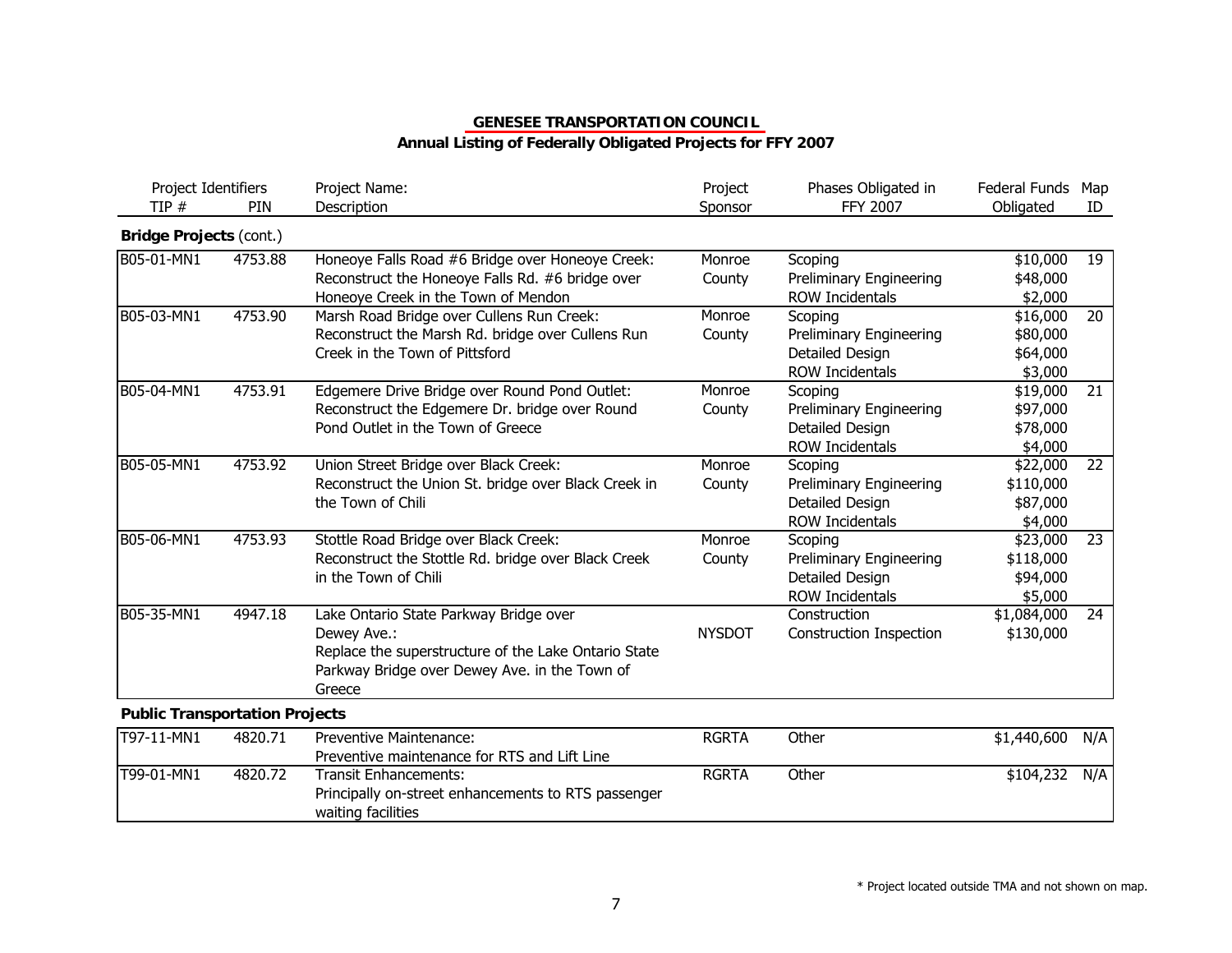| PIN     | Project Name:<br>Description                                                                                                                                             | Project<br>Sponsor | Phases Obligated in<br><b>FFY 2007</b>                                          | Federal Funds<br>Obligated                   | Map<br>ID          |
|---------|--------------------------------------------------------------------------------------------------------------------------------------------------------------------------|--------------------|---------------------------------------------------------------------------------|----------------------------------------------|--------------------|
|         |                                                                                                                                                                          |                    |                                                                                 |                                              |                    |
| 4753.88 | Honeoye Falls Road #6 Bridge over Honeoye Creek:<br>Reconstruct the Honeoye Falls Rd. #6 bridge over<br>Honeoye Creek in the Town of Mendon                              | Monroe<br>County   | Scoping<br>Preliminary Engineering<br><b>ROW Incidentals</b>                    | \$10,000<br>\$48,000<br>\$2,000              | 19                 |
| 4753.90 | Marsh Road Bridge over Cullens Run Creek:<br>Reconstruct the Marsh Rd. bridge over Cullens Run<br>Creek in the Town of Pittsford                                         | Monroe<br>County   | Scoping<br>Preliminary Engineering<br>Detailed Design<br><b>ROW Incidentals</b> | \$16,000<br>\$80,000<br>\$64,000             | 20                 |
| 4753.91 | Edgemere Drive Bridge over Round Pond Outlet:<br>Reconstruct the Edgemere Dr. bridge over Round<br>Pond Outlet in the Town of Greece                                     | Monroe<br>County   | Scoping<br>Preliminary Engineering<br>Detailed Design<br><b>ROW Incidentals</b> | \$19,000<br>\$97,000<br>\$78,000<br>\$4,000  | 21                 |
| 4753.92 | Union Street Bridge over Black Creek:<br>Reconstruct the Union St. bridge over Black Creek in<br>the Town of Chili                                                       | Monroe<br>County   | Scoping<br>Preliminary Engineering<br>Detailed Design<br><b>ROW Incidentals</b> | \$22,000<br>\$110,000<br>\$87,000            | 22                 |
| 4753.93 | Stottle Road Bridge over Black Creek:<br>Reconstruct the Stottle Rd. bridge over Black Creek<br>in the Town of Chili                                                     | Monroe<br>County   | Scoping<br>Preliminary Engineering<br>Detailed Design<br>ROW Incidentals        | \$23,000<br>\$118,000<br>\$94,000<br>\$5,000 | 23                 |
| 4947.18 | Lake Ontario State Parkway Bridge over<br>Dewey Ave.:<br>Replace the superstructure of the Lake Ontario State<br>Parkway Bridge over Dewey Ave. in the Town of<br>Greece | <b>NYSDOT</b>      | Construction<br><b>Construction Inspection</b>                                  | \$1,084,000<br>\$130,000                     | 24                 |
|         | Project Identifiers<br><b>Bridge Projects (cont.)</b>                                                                                                                    |                    |                                                                                 |                                              | \$3,000<br>\$4,000 |

| T97-11-MN1 | 4820.71 | Preventive Maintenance:                                                                            | <b>RGRTA</b> | Other | \$1,440,600 | N/A I |
|------------|---------|----------------------------------------------------------------------------------------------------|--------------|-------|-------------|-------|
|            |         | Preventive maintenance for RTS and Lift Line                                                       |              |       |             |       |
| T99-01-MN1 | 4820.72 | Transit Enhancements:<br>Principally on-street enhancements to RTS passenger<br>waiting facilities | <b>RGRTA</b> | Other | \$104,232   | N/A   |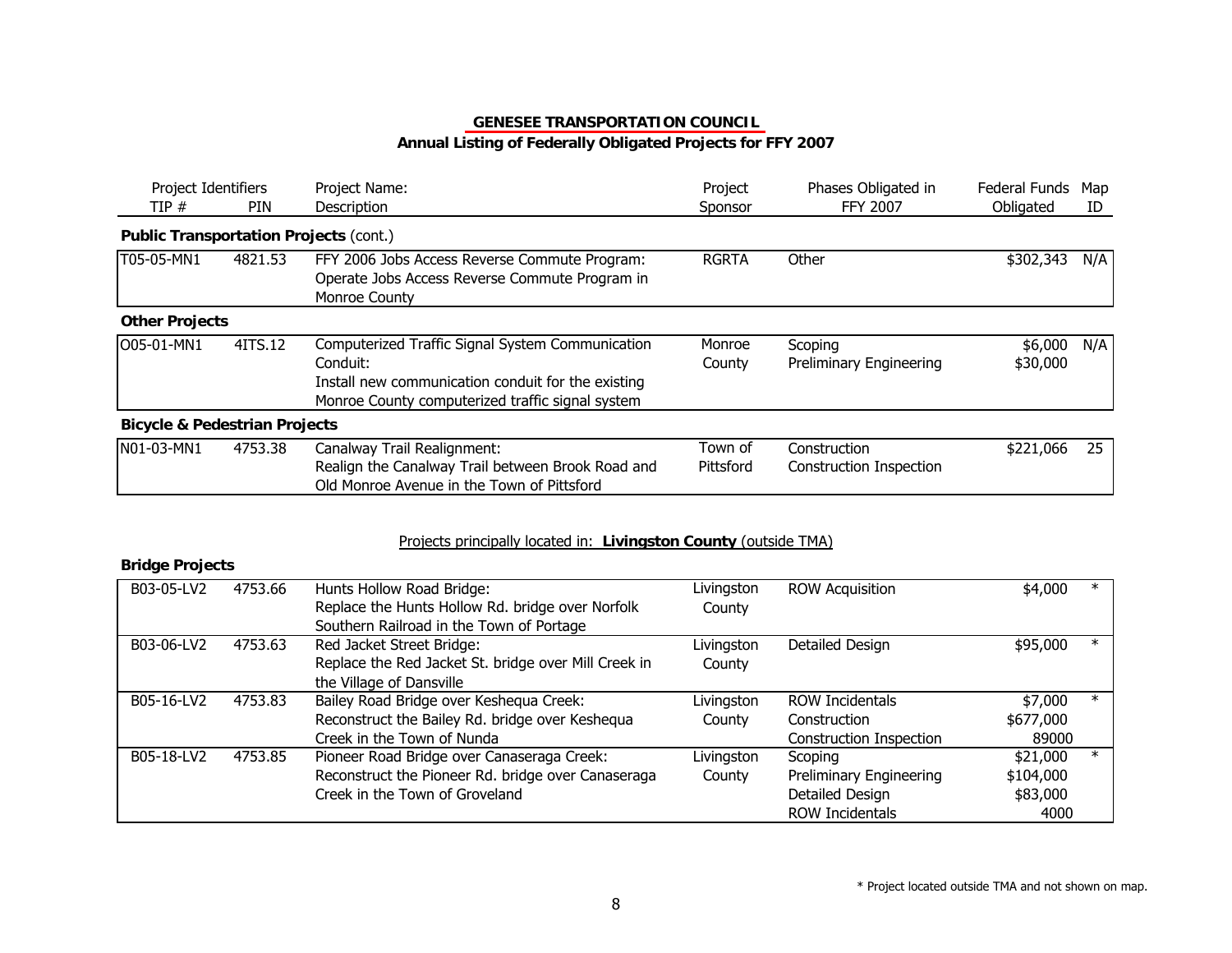| Project Identifiers<br>TIP#                   | <b>PIN</b> | Project Name:<br>Description                                                                                                                                           | Project<br>Sponsor   | Phases Obligated in<br><b>FFY 2007</b>         | Federal Funds<br>Obligated | Map<br>ID |
|-----------------------------------------------|------------|------------------------------------------------------------------------------------------------------------------------------------------------------------------------|----------------------|------------------------------------------------|----------------------------|-----------|
| <b>Public Transportation Projects (cont.)</b> |            |                                                                                                                                                                        |                      |                                                |                            |           |
| T05-05-MN1                                    | 4821.53    | FFY 2006 Jobs Access Reverse Commute Program:<br>Operate Jobs Access Reverse Commute Program in<br>Monroe County                                                       | <b>RGRTA</b>         | Other                                          | \$302,343                  | N/A       |
| <b>Other Projects</b>                         |            |                                                                                                                                                                        |                      |                                                |                            |           |
| O05-01-MN1                                    | 4ITS.12    | Computerized Traffic Signal System Communication<br>Conduit:<br>Install new communication conduit for the existing<br>Monroe County computerized traffic signal system | Monroe<br>County     | Scoping<br>Preliminary Engineering             | \$6,000<br>\$30,000        | N/A       |
| <b>Bicycle &amp; Pedestrian Projects</b>      |            |                                                                                                                                                                        |                      |                                                |                            |           |
| N01-03-MN1                                    | 4753.38    | Canalway Trail Realignment:<br>Realign the Canalway Trail between Brook Road and<br>Old Monroe Avenue in the Town of Pittsford                                         | Town of<br>Pittsford | Construction<br><b>Construction Inspection</b> | \$221,066                  | 25        |

#### Projects principally located in: **Livingston County** (outside TMA)

#### **Bridge Projects**

| B03-05-LV2 | 4753.66 | Hunts Hollow Road Bridge:                            | Livingston | <b>ROW Acquisition</b>  | \$4,000   | $\ast$  |
|------------|---------|------------------------------------------------------|------------|-------------------------|-----------|---------|
|            |         | Replace the Hunts Hollow Rd. bridge over Norfolk     | County     |                         |           |         |
|            |         | Southern Railroad in the Town of Portage             |            |                         |           |         |
| B03-06-LV2 | 4753.63 | Red Jacket Street Bridge:                            | Livingston | Detailed Design         | \$95,000  | $\ast$  |
|            |         | Replace the Red Jacket St. bridge over Mill Creek in | County     |                         |           |         |
|            |         | the Village of Dansville                             |            |                         |           |         |
| B05-16-LV2 | 4753.83 | Bailey Road Bridge over Keshequa Creek:              | Livingston | <b>ROW Incidentals</b>  | \$7,000   | $\ast$  |
|            |         | Reconstruct the Bailey Rd. bridge over Keshequa      | County     | Construction            | \$677,000 |         |
|            |         | Creek in the Town of Nunda                           |            | Construction Inspection | 89000     |         |
| B05-18-LV2 | 4753.85 | Pioneer Road Bridge over Canaseraga Creek:           | Livingston | Scoping                 | \$21,000  | $^\ast$ |
|            |         | Reconstruct the Pioneer Rd. bridge over Canaseraga   | County     | Preliminary Engineering | \$104,000 |         |
|            |         | Creek in the Town of Groveland                       |            | Detailed Design         | \$83,000  |         |
|            |         |                                                      |            | <b>ROW Incidentals</b>  | 4000      |         |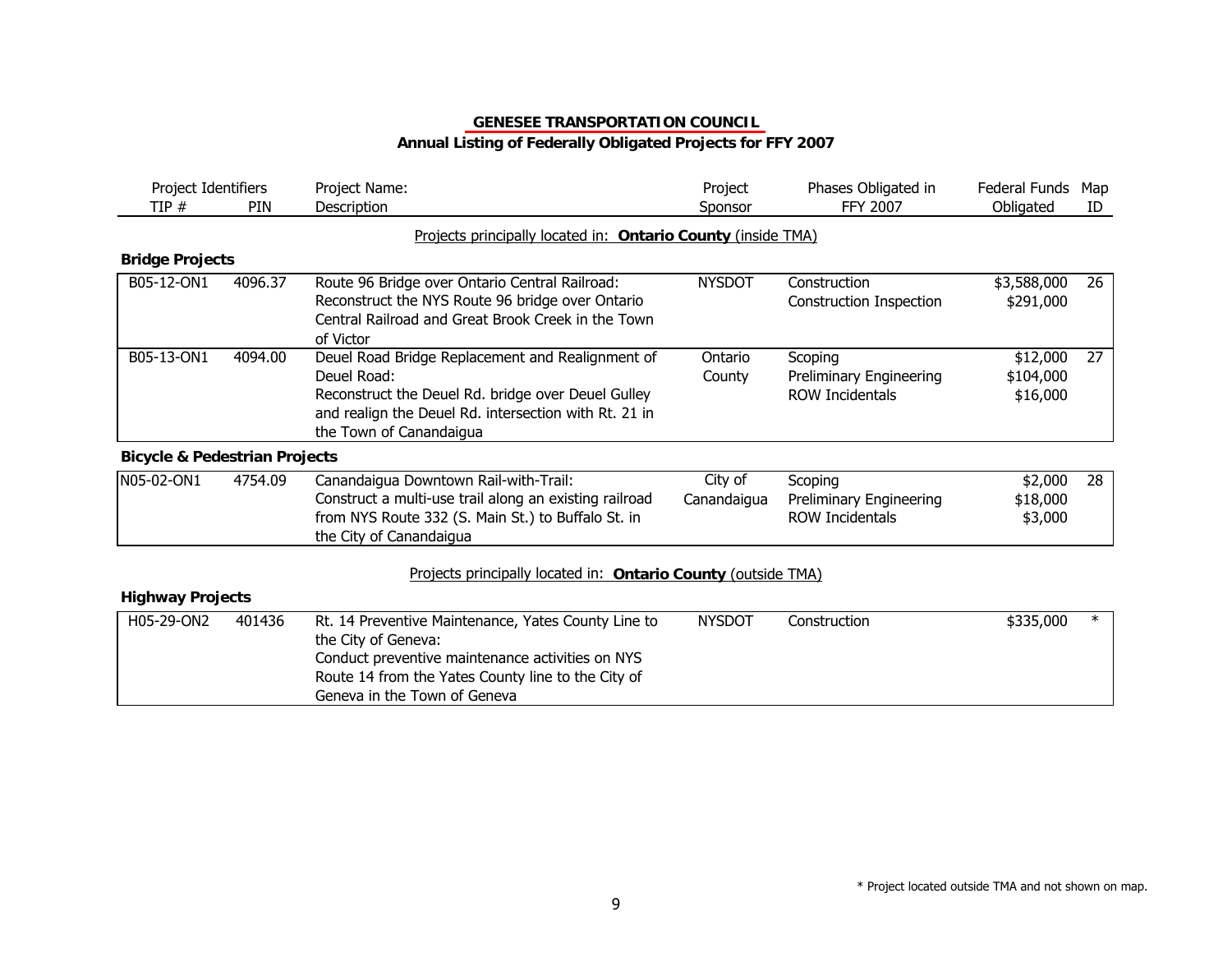| Project Identifiers<br>TIP#              | <b>PIN</b> | Project Name:<br>Description                                                                                                                                                                              | Project<br>Sponsor     | Phases Obligated in<br><b>FFY 2007</b>                       | Federal Funds<br>Obligated        | Map<br>ID |
|------------------------------------------|------------|-----------------------------------------------------------------------------------------------------------------------------------------------------------------------------------------------------------|------------------------|--------------------------------------------------------------|-----------------------------------|-----------|
|                                          |            | Projects principally located in: Ontario County (inside TMA)                                                                                                                                              |                        |                                                              |                                   |           |
| <b>Bridge Projects</b>                   |            |                                                                                                                                                                                                           |                        |                                                              |                                   |           |
| B05-12-ON1                               | 4096.37    | Route 96 Bridge over Ontario Central Railroad:<br>Reconstruct the NYS Route 96 bridge over Ontario<br>Central Railroad and Great Brook Creek in the Town<br>of Victor                                     | <b>NYSDOT</b>          | Construction<br><b>Construction Inspection</b>               | \$3,588,000<br>\$291,000          | 26        |
| B05-13-ON1                               | 4094.00    | Deuel Road Bridge Replacement and Realignment of<br>Deuel Road:<br>Reconstruct the Deuel Rd. bridge over Deuel Gulley<br>and realign the Deuel Rd. intersection with Rt. 21 in<br>the Town of Canandaigua | Ontario<br>County      | Scoping<br>Preliminary Engineering<br><b>ROW Incidentals</b> | \$12,000<br>\$104,000<br>\$16,000 | 27        |
| <b>Bicycle &amp; Pedestrian Projects</b> |            |                                                                                                                                                                                                           |                        |                                                              |                                   |           |
| N05-02-ON1                               | 4754.09    | Canandaigua Downtown Rail-with-Trail:<br>Construct a multi-use trail along an existing railroad<br>from NYS Route 332 (S. Main St.) to Buffalo St. in<br>the City of Canandaigua                          | City of<br>Canandaigua | Scoping<br>Preliminary Engineering<br><b>ROW Incidentals</b> | \$2,000<br>\$18,000<br>\$3,000    | 28        |
| <b>Highway Projects</b>                  |            | Projects principally located in: Ontario County (outside TMA)                                                                                                                                             |                        |                                                              |                                   |           |

| H05-29-ON2 | 401436 | Rt. 14 Preventive Maintenance, Yates County Line to | NYSDOT | Construction | \$335,000 |  |
|------------|--------|-----------------------------------------------------|--------|--------------|-----------|--|
|            |        | the City of Geneva:                                 |        |              |           |  |
|            |        | Conduct preventive maintenance activities on NYS    |        |              |           |  |
|            |        | Route 14 from the Yates County line to the City of  |        |              |           |  |
|            |        | Geneva in the Town of Geneva                        |        |              |           |  |
|            |        |                                                     |        |              |           |  |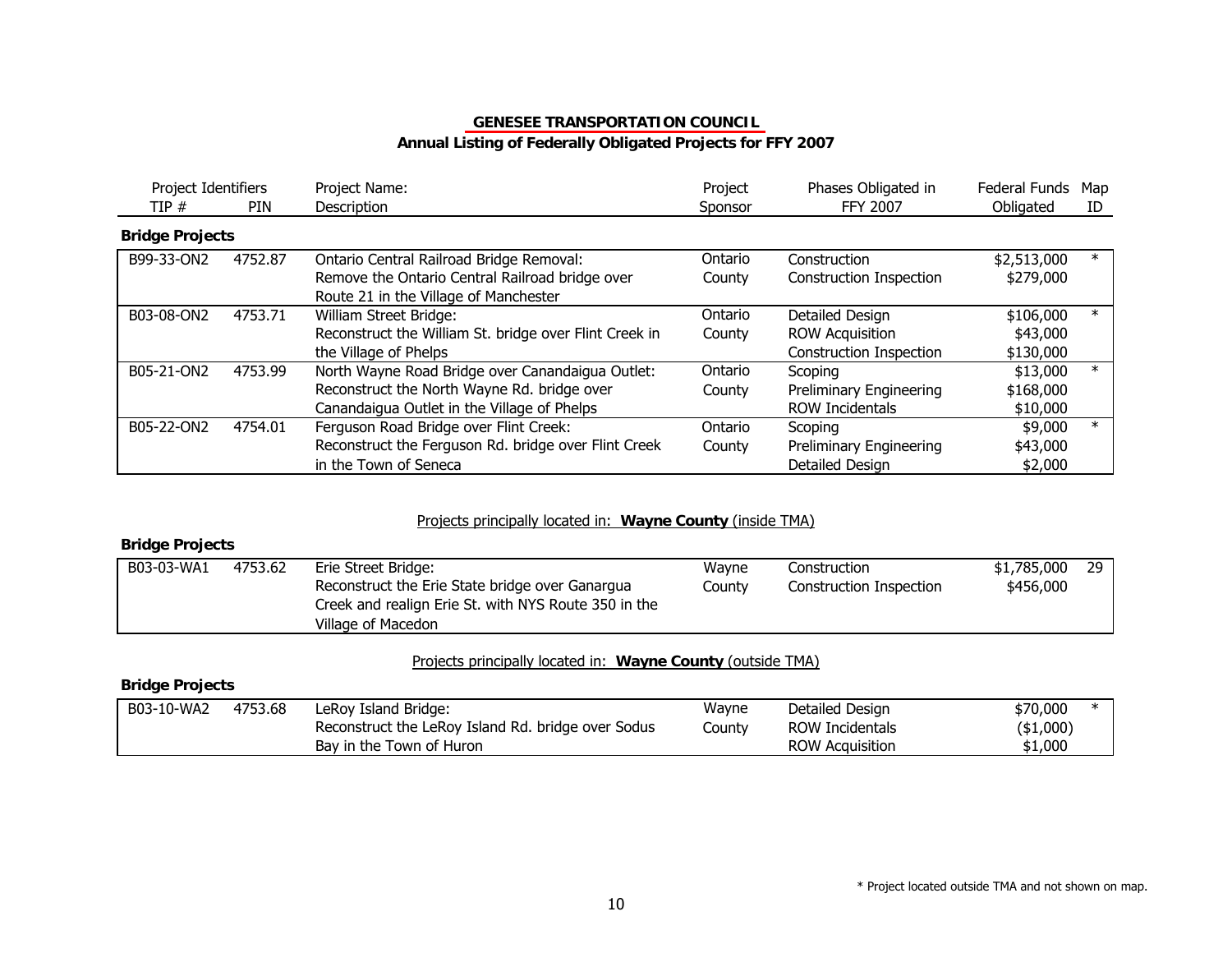## **Annual Listing of Federally Obligated Projects for FFY 2007**

| Project Identifiers<br>TIP# | <b>PIN</b> | Project Name:<br>Description                                                                                                                   | Project<br>Sponsor | Phases Obligated in<br>FFY 2007                                      | Federal Funds<br>Obligated         | Map<br>ID |
|-----------------------------|------------|------------------------------------------------------------------------------------------------------------------------------------------------|--------------------|----------------------------------------------------------------------|------------------------------------|-----------|
| <b>Bridge Projects</b>      |            |                                                                                                                                                |                    |                                                                      |                                    |           |
| B99-33-ON2                  | 4752.87    | Ontario Central Railroad Bridge Removal:<br>Remove the Ontario Central Railroad bridge over<br>Route 21 in the Village of Manchester           | Ontario<br>County  | Construction<br>Construction Inspection                              | \$2,513,000<br>\$279,000           | $\ast$    |
| B03-08-ON2                  | 4753.71    | William Street Bridge:<br>Reconstruct the William St. bridge over Flint Creek in<br>the Village of Phelps                                      | Ontario<br>County  | Detailed Design<br><b>ROW Acquisition</b><br>Construction Inspection | \$106,000<br>\$43,000<br>\$130,000 |           |
| B05-21-ON2                  | 4753.99    | North Wayne Road Bridge over Canandaigua Outlet:<br>Reconstruct the North Wayne Rd. bridge over<br>Canandaigua Outlet in the Village of Phelps | Ontario<br>County  | Scoping<br>Preliminary Engineering<br>ROW Incidentals                | \$13,000<br>\$168,000<br>\$10,000  | $\ast$    |
| B05-22-ON2                  | 4754.01    | Ferguson Road Bridge over Flint Creek:<br>Reconstruct the Ferguson Rd. bridge over Flint Creek<br>in the Town of Seneca                        | Ontario<br>County  | Scoping<br>Preliminary Engineering<br>Detailed Design                | \$9,000<br>\$43,000<br>\$2,000     | $\ast$    |

#### Projects principally located in: **Wayne County** (inside TMA)

#### **Bridge Projects**

| B03-03-WA1 | 4753.62 | Erie Street Bridge:<br>Reconstruct the Erie State bridge over Ganargua<br>Creek and realign Erie St. with NYS Route 350 in the | Wayne<br>Countv | Construction<br>Construction Inspection | \$1,785,000<br>\$456,000 | 29 |
|------------|---------|--------------------------------------------------------------------------------------------------------------------------------|-----------------|-----------------------------------------|--------------------------|----|
|            |         | Village of Macedon                                                                                                             |                 |                                         |                          |    |

#### Projects principally located in: **Wayne County** (outside TMA)

#### **Bridge Projects**

| B03-10-WA2 | 4753.68 | LeRoy Island Bridge:                               | Wayne  | Detailed Design        | \$70,000  |  |
|------------|---------|----------------------------------------------------|--------|------------------------|-----------|--|
|            |         | Reconstruct the LeRoy Island Rd. bridge over Sodus | County | ROW Incidentals        | (\$1,000) |  |
|            |         | Bay in the Town of Huron                           |        | <b>ROW Acquisition</b> | \$1,000   |  |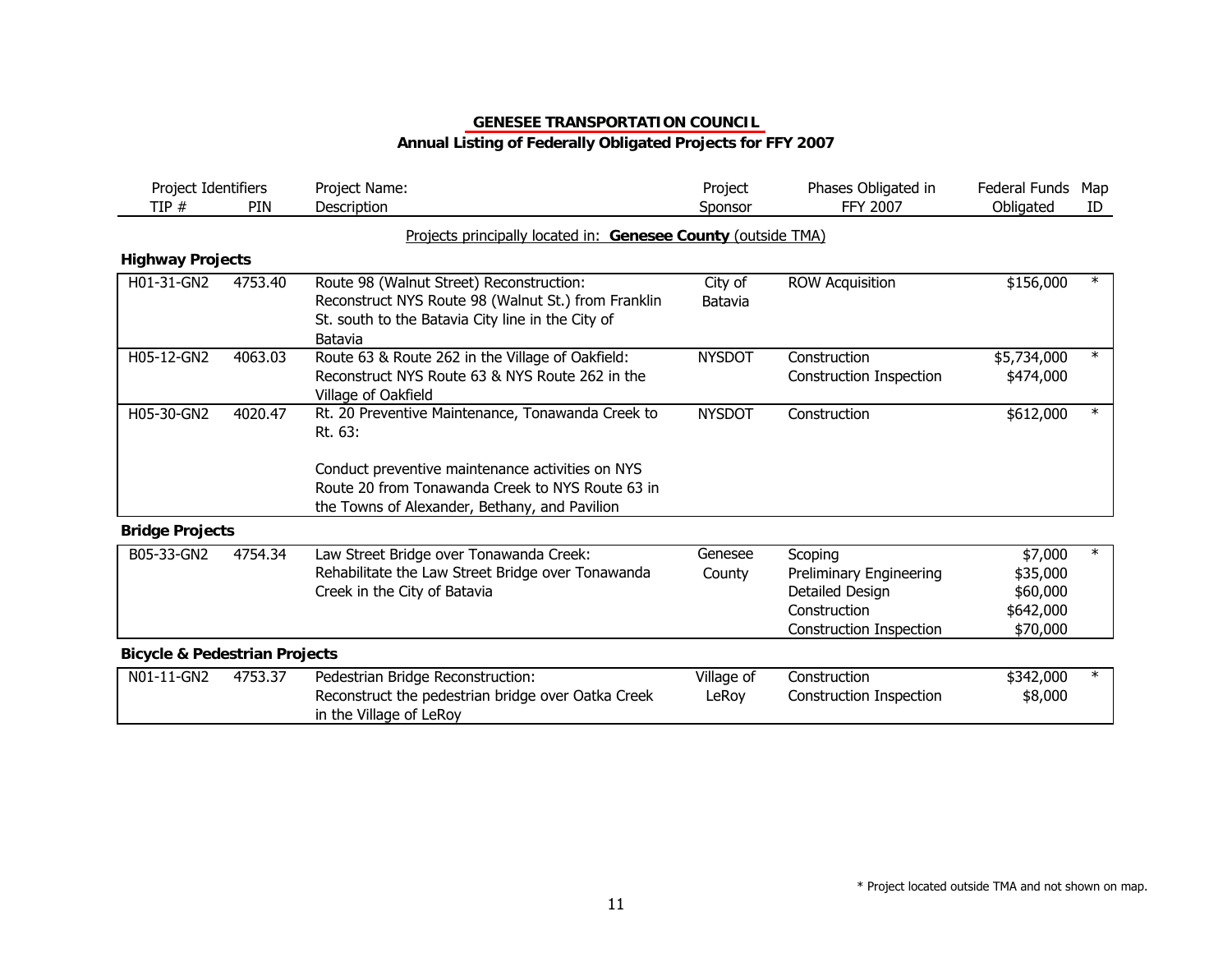| Project Identifiers<br>TIP#              | <b>PIN</b> | Project Name:<br>Description                                                                                                                                    | Project<br>Sponsor  | Phases Obligated in<br><b>FFY 2007</b>                                                                  | <b>Federal Funds</b><br>Obligated                        | Map<br>ID |
|------------------------------------------|------------|-----------------------------------------------------------------------------------------------------------------------------------------------------------------|---------------------|---------------------------------------------------------------------------------------------------------|----------------------------------------------------------|-----------|
|                                          |            | Projects principally located in: Genesee County (outside TMA)                                                                                                   |                     |                                                                                                         |                                                          |           |
| <b>Highway Projects</b>                  |            |                                                                                                                                                                 |                     |                                                                                                         |                                                          |           |
| H01-31-GN2                               | 4753.40    | Route 98 (Walnut Street) Reconstruction:<br>Reconstruct NYS Route 98 (Walnut St.) from Franklin<br>St. south to the Batavia City line in the City of<br>Batavia | City of<br>Batavia  | <b>ROW Acquisition</b>                                                                                  | \$156,000                                                | $\ast$    |
| H05-12-GN2                               | 4063.03    | Route 63 & Route 262 in the Village of Oakfield:<br>Reconstruct NYS Route 63 & NYS Route 262 in the<br>Village of Oakfield                                      | <b>NYSDOT</b>       | Construction<br>Construction Inspection                                                                 | \$5,734,000<br>\$474,000                                 | $\ast$    |
| H05-30-GN2                               | 4020.47    | Rt. 20 Preventive Maintenance, Tonawanda Creek to<br>Rt. 63:<br>Conduct preventive maintenance activities on NYS                                                | <b>NYSDOT</b>       | Construction                                                                                            | \$612,000                                                | $\ast$    |
|                                          |            | Route 20 from Tonawanda Creek to NYS Route 63 in<br>the Towns of Alexander, Bethany, and Pavilion                                                               |                     |                                                                                                         |                                                          |           |
| <b>Bridge Projects</b>                   |            |                                                                                                                                                                 |                     |                                                                                                         |                                                          |           |
| B05-33-GN2                               | 4754.34    | Law Street Bridge over Tonawanda Creek:<br>Rehabilitate the Law Street Bridge over Tonawanda<br>Creek in the City of Batavia                                    | Genesee<br>County   | Scoping<br>Preliminary Engineering<br>Detailed Design<br>Construction<br><b>Construction Inspection</b> | \$7,000<br>\$35,000<br>\$60,000<br>\$642,000<br>\$70,000 |           |
| <b>Bicycle &amp; Pedestrian Projects</b> |            |                                                                                                                                                                 |                     |                                                                                                         |                                                          |           |
| N01-11-GN2                               | 4753.37    | Pedestrian Bridge Reconstruction:<br>Reconstruct the pedestrian bridge over Oatka Creek<br>in the Village of LeRoy                                              | Village of<br>LeRoy | Construction<br>Construction Inspection                                                                 | \$342,000<br>\$8,000                                     |           |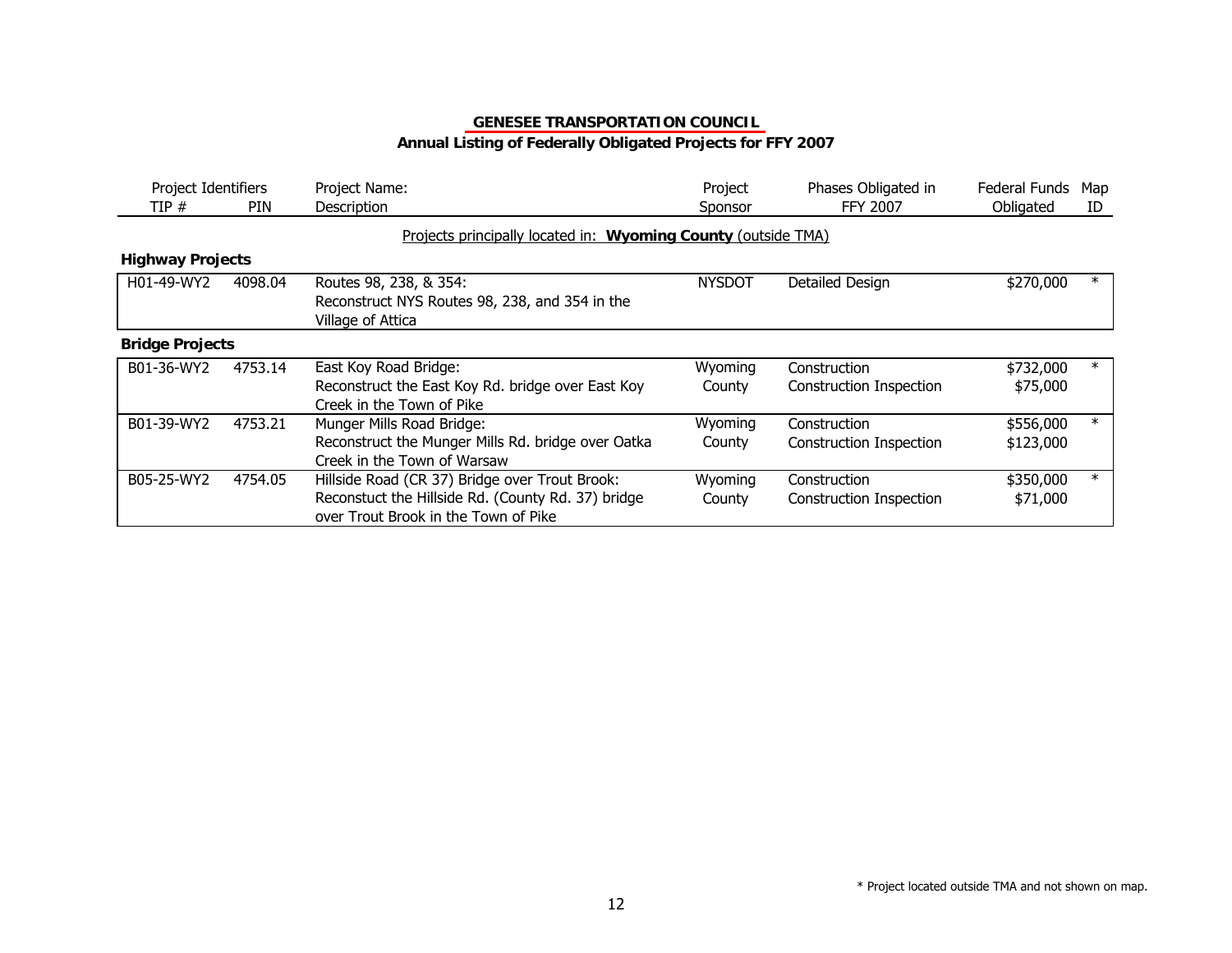## **Annual Listing of Federally Obligated Projects for FFY 2007**

| Project Identifiers<br>TIP#<br><b>PIN</b> |         | Project Name:<br>Description                                                                                                                 | Project<br>Sponsor | Phases Obligated in<br>FFY 2007                | Federal Funds<br>Obligated | Map<br>ID |
|-------------------------------------------|---------|----------------------------------------------------------------------------------------------------------------------------------------------|--------------------|------------------------------------------------|----------------------------|-----------|
|                                           |         | Projects principally located in: Wyoming County (outside TMA)                                                                                |                    |                                                |                            |           |
| <b>Highway Projects</b>                   |         |                                                                                                                                              |                    |                                                |                            |           |
| H01-49-WY2                                | 4098.04 | Routes 98, 238, & 354:<br>Reconstruct NYS Routes 98, 238, and 354 in the<br>Village of Attica                                                | <b>NYSDOT</b>      | Detailed Design                                | \$270,000                  |           |
| <b>Bridge Projects</b>                    |         |                                                                                                                                              |                    |                                                |                            |           |
| B01-36-WY2                                | 4753.14 | East Koy Road Bridge:<br>Reconstruct the East Koy Rd. bridge over East Koy<br>Creek in the Town of Pike                                      | Wyoming<br>County  | Construction<br>Construction Inspection        | \$732,000<br>\$75,000      | $\ast$    |
| B01-39-WY2                                | 4753.21 | Munger Mills Road Bridge:<br>Reconstruct the Munger Mills Rd. bridge over Oatka<br>Creek in the Town of Warsaw                               | Wyoming<br>County  | Construction<br>Construction Inspection        | \$556,000<br>\$123,000     | $^\ast$   |
| B05-25-WY2                                | 4754.05 | Hillside Road (CR 37) Bridge over Trout Brook:<br>Reconstuct the Hillside Rd. (County Rd. 37) bridge<br>over Trout Brook in the Town of Pike | Wyoming<br>County  | Construction<br><b>Construction Inspection</b> | \$350,000<br>\$71,000      | $\ast$    |